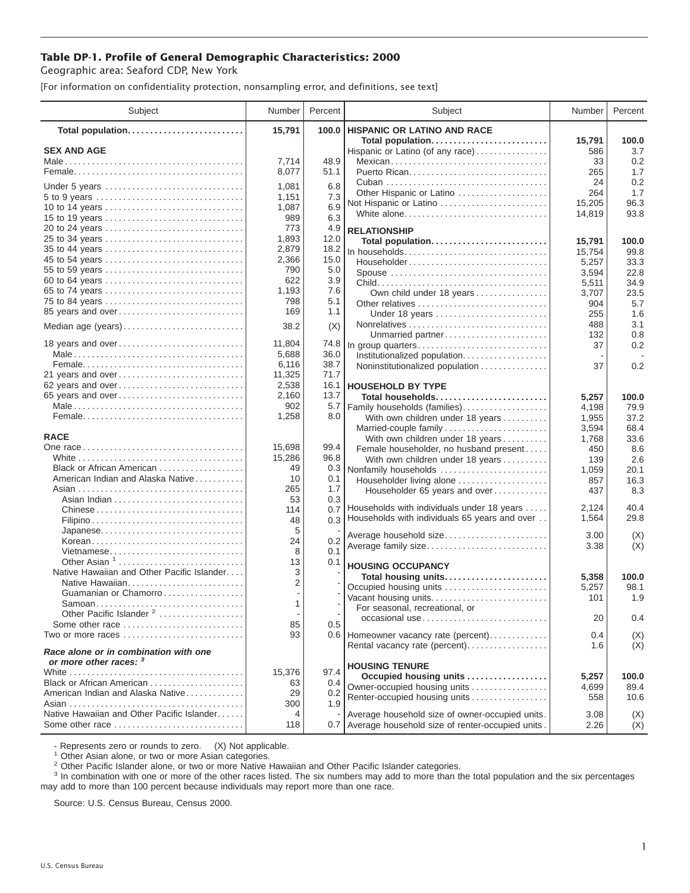## **Table DP-1. Profile of General Demographic Characteristics: 2000**

Geographic area: Seaford CDP, New York

[For information on confidentiality protection, nonsampling error, and definitions, see text]

| Subject                                                         | Number                   | Percent | Subject                                              | Number        | Percent      |
|-----------------------------------------------------------------|--------------------------|---------|------------------------------------------------------|---------------|--------------|
| Total population                                                | 15,791                   | 100.0   | <b>HISPANIC OR LATINO AND RACE</b>                   |               |              |
| <b>SEX AND AGE</b>                                              |                          |         | Total population<br>Hispanic or Latino (of any race) | 15,791<br>586 | 100.0<br>3.7 |
|                                                                 | 7,714                    | 48.9    |                                                      | 33            | 0.2          |
|                                                                 | 8,077                    | 51.1    |                                                      | 265           | 1.7          |
|                                                                 |                          |         |                                                      | 24            | 0.2          |
| Under 5 years                                                   | 1,081                    | 6.8     | Other Hispanic or Latino                             | 264           | 1.7          |
| 5 to 9 years                                                    | 1,151                    | 7.3     | Not Hispanic or Latino                               | 15,205        | 96.3         |
| 10 to 14 years                                                  | 1,087                    | 6.9     | White alone                                          | 14,819        | 93.8         |
| 15 to 19 years                                                  | 989                      | 6.3     |                                                      |               |              |
| 20 to 24 years                                                  | 773                      | 4.9     | <b>RELATIONSHIP</b>                                  |               |              |
| 25 to 34 years                                                  | 1,893                    | 12.0    | Total population                                     | 15,791        | 100.0        |
|                                                                 | 2,879                    | 18.2    | In households                                        | 15,754        | 99.8         |
| 45 to 54 years                                                  | 2,366                    | 15.0    | Householder                                          | 5,257         | 33.3         |
| 55 to 59 years                                                  | 790                      | 5.0     | Spouse                                               | 3,594         | 22.8         |
| 60 to 64 years                                                  | 622                      | 3.9     |                                                      | 5,511         | 34.9         |
| 65 to 74 years                                                  | 1,193                    | 7.6     | Own child under 18 years                             | 3,707         | 23.5         |
| 75 to 84 years                                                  | 798                      | 5.1     | Other relatives                                      | 904           | 5.7          |
| 85 years and over                                               | 169                      | 1.1     | Under 18 years                                       | 255           | 1.6          |
| Median age (years)                                              | 38.2                     | (X)     |                                                      | 488           | 3.1          |
|                                                                 |                          |         | Unmarried partner                                    | 132           | 0.8          |
| 18 years and over                                               | 11,804                   | 74.8    | In group quarters                                    | 37            | 0.2          |
|                                                                 | 5,688                    | 36.0    | Institutionalized population                         |               |              |
|                                                                 | 6,116                    | 38.7    | Noninstitutionalized population                      | 37            | 0.2          |
| 21 years and over                                               | 11,325                   | 71.7    |                                                      |               |              |
| 62 years and over                                               | 2.538                    | 16.1    | <b>HOUSEHOLD BY TYPE</b>                             |               |              |
| 65 years and over                                               | 2,160                    | 13.7    | Total households                                     | 5,257         | 100.0        |
|                                                                 | 902                      | 5.7     | Family households (families)                         | 4,198         | 79.9         |
|                                                                 | 1,258                    | 8.0     | With own children under 18 years                     | 1,955         | 37.2         |
|                                                                 |                          |         | Married-couple family                                | 3,594         | 68.4         |
| <b>RACE</b>                                                     |                          |         | With own children under 18 years                     | 1,768         | 33.6         |
|                                                                 | 15,698                   | 99.4    | Female householder, no husband present               | 450           | 8.6          |
|                                                                 | 15,286                   | 96.8    | With own children under 18 years                     | 139           | 2.6          |
| Black or African American                                       | 49                       | 0.3     | Nonfamily households                                 | 1,059         | 20.1         |
| American Indian and Alaska Native                               | 10                       | 0.1     | Householder living alone                             | 857           | 16.3         |
|                                                                 | 265                      | 1.7     | Householder 65 years and over                        | 437           | 8.3          |
|                                                                 | 53                       | 0.3     |                                                      |               |              |
| Chinese                                                         | 114                      | 0.7     | Households with individuals under 18 years           | 2,124         | 40.4         |
|                                                                 | 48                       | 0.3     | Households with individuals 65 years and over        | 1,564         | 29.8         |
| Japanese                                                        | 5                        |         | Average household size                               | 3.00          | (X)          |
| Korean                                                          | 24                       | 0.2     | Average family size                                  | 3.38          | (X)          |
| Vietnamese                                                      | 8                        | 0.1     |                                                      |               |              |
| Other Asian 1                                                   | 13                       | 0.1     | <b>HOUSING OCCUPANCY</b>                             |               |              |
| Native Hawaiian and Other Pacific Islander                      | 3                        |         | Total housing units                                  | 5,358         | 100.0        |
| Native Hawaiian                                                 | 2                        |         | Occupied housing units                               | 5,257         | 98.1         |
| Guamanian or Chamorro                                           |                          |         | Vacant housing units                                 | 101           | 1.9          |
|                                                                 | 1                        |         | For seasonal, recreational, or                       |               |              |
| Other Pacific Islander <sup>2</sup>                             | $\overline{\phantom{a}}$ |         | occasional use                                       | 20            | 0.4          |
| Some other race                                                 | 85                       | 0.5     |                                                      |               |              |
| Two or more races                                               | 93                       |         | 0.6 Homeowner vacancy rate (percent)                 | 0.4           | (X)          |
| Race alone or in combination with one<br>or more other races: 3 |                          |         | Rental vacancy rate (percent)                        | 1.6           | (X)          |
|                                                                 | 15,376                   | 97.4    | <b>HOUSING TENURE</b>                                |               |              |
| Black or African American                                       | 63                       | 0.4     | Occupied housing units                               | 5,257         | 100.0        |
| American Indian and Alaska Native                               | 29                       | 0.2     | Owner-occupied housing units                         | 4,699         | 89.4         |
|                                                                 | 300                      | 1.9     | Renter-occupied housing units                        | 558           | 10.6         |
| Native Hawaiian and Other Pacific Islander                      | 4                        |         | Average household size of owner-occupied units.      | 3.08          |              |
| Some other race                                                 | 118                      |         | 0.7 Average household size of renter-occupied units. | 2.26          | (X)          |
|                                                                 |                          |         |                                                      |               | (X)          |

- Represents zero or rounds to zero. (X) Not applicable.<br><sup>1</sup> Other Asian alone, or two or more Asian categories.

<sup>2</sup> Other Pacific Islander alone, or two or more Native Hawaiian and Other Pacific Islander categories.<br><sup>3</sup> In combination with one or more of the other races listed. The six numbers may add to more than the total populati may add to more than 100 percent because individuals may report more than one race.

Source: U.S. Census Bureau, Census 2000.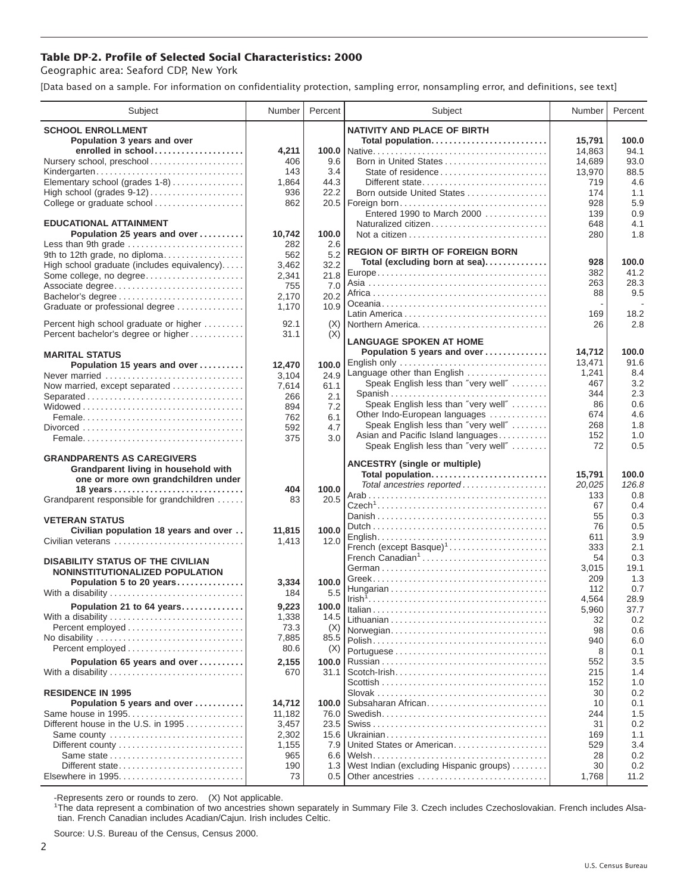## **Table DP-2. Profile of Selected Social Characteristics: 2000**

Geographic area: Seaford CDP, New York

[Data based on a sample. For information on confidentiality protection, sampling error, nonsampling error, and definitions, see text]

| Subject                                                   | Number          | Percent      | Subject                                                                                                         | Number    | Percent     |
|-----------------------------------------------------------|-----------------|--------------|-----------------------------------------------------------------------------------------------------------------|-----------|-------------|
| <b>SCHOOL ENROLLMENT</b>                                  |                 |              | <b>NATIVITY AND PLACE OF BIRTH</b>                                                                              |           |             |
| Population 3 years and over                               |                 |              | Total population                                                                                                | 15,791    | 100.0       |
| enrolled in school                                        | 4,211           | 100.0        |                                                                                                                 | 14,863    | 94.1        |
| Nursery school, preschool                                 | 406             | 9.6          |                                                                                                                 | 14,689    | 93.0        |
| Kindergarten                                              | 143             | 3.4          |                                                                                                                 | 13,970    | 88.5        |
| Elementary school (grades 1-8)                            | 1,864           | 44.3         | Different state                                                                                                 | 719       | 4.6         |
| High school (grades $9-12$ )                              | 936             | 22.2         | Born outside United States                                                                                      | 174       | 1.1         |
| College or graduate school                                | 862             |              |                                                                                                                 | 928       | 5.9         |
|                                                           |                 |              | Entered 1990 to March 2000                                                                                      | 139       | 0.9         |
| <b>EDUCATIONAL ATTAINMENT</b>                             |                 |              | Naturalized citizen                                                                                             | 648       | 4.1         |
| Population 25 years and over                              | 10,742          | 100.0        |                                                                                                                 | 280       | 1.8         |
| Less than 9th grade                                       | 282             | 2.6          |                                                                                                                 |           |             |
| 9th to 12th grade, no diploma                             | 562             | 5.2          | <b>REGION OF BIRTH OF FOREIGN BORN</b>                                                                          |           |             |
| High school graduate (includes equivalency)               | 3,462           | 32.2         | Total (excluding born at sea)                                                                                   | 928       | 100.0       |
| Some college, no degree                                   | 2,341           | 21.8         |                                                                                                                 | 382       | 41.2        |
| Associate degree                                          | 755             | 7.0          |                                                                                                                 | 263<br>88 | 28.3<br>9.5 |
| Bachelor's degree                                         | 2,170           | 20.2         |                                                                                                                 |           |             |
| Graduate or professional degree                           | 1,170           | 10.9         |                                                                                                                 | 169       | 18.2        |
| Percent high school graduate or higher                    | 92.1            | (X)          | Northern America                                                                                                | 26        | 2.8         |
| Percent bachelor's degree or higher                       | 31.1            | (X)          |                                                                                                                 |           |             |
|                                                           |                 |              | <b>LANGUAGE SPOKEN AT HOME</b>                                                                                  |           |             |
| <b>MARITAL STATUS</b>                                     |                 |              | Population 5 years and over                                                                                     | 14,712    | 100.0       |
| Population 15 years and over                              | 12,470          | 100.0        | English only                                                                                                    | 13.471    | 91.6        |
| Never married                                             | 3,104           | 24.9         | Language other than English                                                                                     | 1,241     | 8.4         |
| Now married, except separated                             | 7,614           | 61.1         | Speak English less than "very well"                                                                             | 467       | 3.2         |
|                                                           | 266             | 2.1          | Spanish                                                                                                         | 344       | 2.3         |
|                                                           | 894             | 7.2          | Speak English less than "very well"                                                                             | 86        | 0.6         |
|                                                           | 762             | 6.1          | Other Indo-European languages                                                                                   | 674       | 4.6         |
|                                                           | 592             | 4.7          | Speak English less than "very well"                                                                             | 268       | 1.8         |
|                                                           | 375             | 3.0          | Asian and Pacific Island languages                                                                              | 152       | 1.0         |
|                                                           |                 |              | Speak English less than "very well"                                                                             | 72        | 0.5         |
| <b>GRANDPARENTS AS CAREGIVERS</b>                         |                 |              | <b>ANCESTRY</b> (single or multiple)                                                                            |           |             |
| Grandparent living in household with                      |                 |              | Total population                                                                                                | 15,791    | 100.0       |
| one or more own grandchildren under                       |                 |              | Total ancestries reported                                                                                       | 20,025    | 126.8       |
| 18 years                                                  | 404             | 100.0        |                                                                                                                 | 133       | 0.8         |
| Grandparent responsible for grandchildren                 | 83              | 20.5         |                                                                                                                 | 67        | 0.4         |
| <b>VETERAN STATUS</b>                                     |                 |              |                                                                                                                 | 55        | 0.3         |
|                                                           |                 | 100.0        |                                                                                                                 | 76        | 0.5         |
| Civilian population 18 years and over                     | 11,815<br>1,413 | 12.0         | $English \dots \dots \dots \dots \dots \dots \dots \dots \dots \dots \dots \dots \dots$                         | 611       | 3.9         |
| Civilian veterans                                         |                 |              | French (except Basque) <sup>1</sup>                                                                             | 333       | 2.1         |
| <b>DISABILITY STATUS OF THE CIVILIAN</b>                  |                 |              | French Canadian <sup>1</sup>                                                                                    | 54        | 0.3         |
| NONINSTITUTIONALIZED POPULATION                           |                 |              |                                                                                                                 | 3,015     | 19.1        |
| Population 5 to 20 years                                  | 3,334           | 100.0        |                                                                                                                 | 209       | 1.3         |
| With a disability                                         | 184             | 5.5          |                                                                                                                 | 112       | 0.7         |
| Population 21 to 64 years                                 | 9,223           | 100.0        | $\left  \text{Irish}^{\bar{1}}, \ldots, \ldots, \ldots, \ldots, \ldots, \ldots, \ldots, \ldots, \ldots \right $ | 4,564     | 28.9        |
|                                                           |                 |              |                                                                                                                 | 5,960     | 37.7        |
| With a disability                                         | 1,338<br>73.3   | 14.5         |                                                                                                                 | 32        | 0.2         |
|                                                           |                 | (X)          | Norwegian                                                                                                       | 98        | 0.6         |
| No disability                                             | 7,885<br>80.6   | 85.5         |                                                                                                                 | 940       | 6.0         |
|                                                           |                 | (X)          |                                                                                                                 | 8         | 0.1         |
| Population 65 years and over                              | 2,155           | 100.0        |                                                                                                                 | 552       | 3.5         |
| With a disability                                         | 670             | 31.1         |                                                                                                                 | 215       | 1.4         |
| <b>RESIDENCE IN 1995</b>                                  |                 |              |                                                                                                                 | 152       | 1.0         |
|                                                           |                 |              | Subsaharan African                                                                                              | 30        | 0.2         |
| Population 5 years and over                               | 14,712          | 100.0        |                                                                                                                 | 10        | 0.1<br>1.5  |
| Same house in 1995<br>Different house in the U.S. in 1995 | 11,182          | 76.0<br>23.5 |                                                                                                                 | 244<br>31 | 0.2         |
|                                                           | 3,457<br>2,302  | 15.6         |                                                                                                                 | 169       | 1.1         |
| Same county<br>Different county                           | 1,155           | 7.9          | United States or American                                                                                       | 529       | 3.4         |
| Same state                                                | 965             | 6.6          |                                                                                                                 | 28        | 0.2         |
| Different state                                           | 190             | 1.3          | West Indian (excluding Hispanic groups)                                                                         | 30        | 0.2         |
| Elsewhere in 1995                                         | 73              | 0.5          | Other ancestries                                                                                                | 1,768     | 11.2        |
|                                                           |                 |              |                                                                                                                 |           |             |

-Represents zero or rounds to zero. (X) Not applicable. 1 The data represent a combination of two ancestries shown separately in Summary File 3. Czech includes Czechoslovakian. French includes Alsatian. French Canadian includes Acadian/Cajun. Irish includes Celtic.

Source: U.S. Bureau of the Census, Census 2000.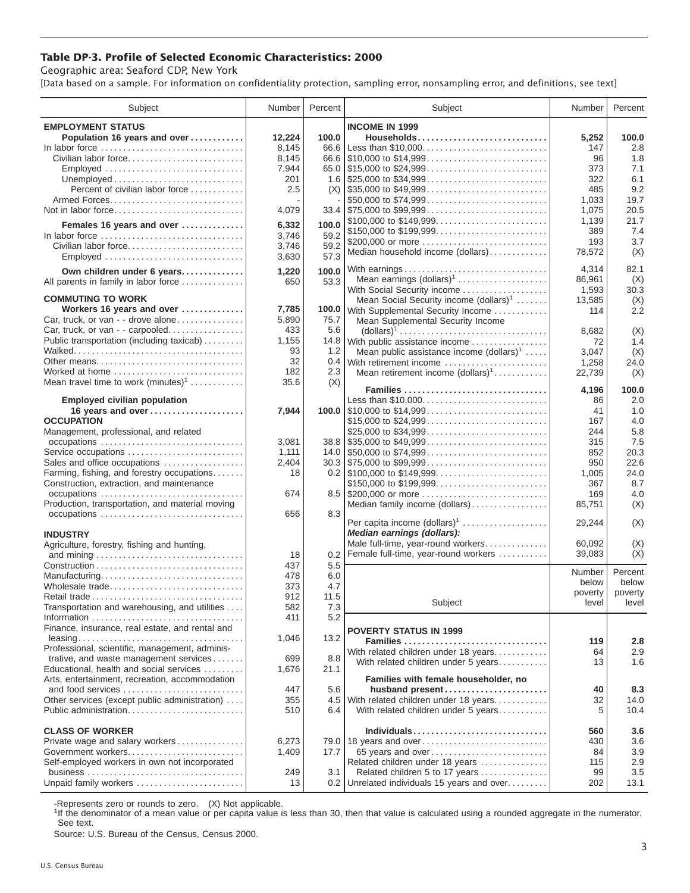## **Table DP-3. Profile of Selected Economic Characteristics: 2000**

Geographic area: Seaford CDP, New York

[Data based on a sample. For information on confidentiality protection, sampling error, nonsampling error, and definitions, see text]

| Subject                                         | Number | Percent | Subject                                             | Number  | Percent |
|-------------------------------------------------|--------|---------|-----------------------------------------------------|---------|---------|
| <b>EMPLOYMENT STATUS</b>                        |        |         | <b>INCOME IN 1999</b>                               |         |         |
| Population 16 years and over                    | 12.224 | 100.0   | Households                                          | 5,252   | 100.0   |
| In labor force                                  | 8,145  | 66.6    | Less than \$10,000                                  | 147     | 2.8     |
| Civilian labor force                            | 8,145  |         | 66.6 \$10,000 to \$14,999                           | 96      | 1.8     |
| Employed                                        | 7,944  |         | 65.0 \$15,000 to \$24,999                           | 373     | 7.1     |
|                                                 | 201    |         |                                                     | 322     | 6.1     |
| Percent of civilian labor force                 | 2.5    |         | $(X)$ \\ \$35,000 to \$49,999                       | 485     | 9.2     |
|                                                 |        |         | \$50,000 to \$74,999                                | 1,033   | 19.7    |
|                                                 |        |         | $33.4$ \\ \$75,000 to \$99,999                      |         | 20.5    |
| Not in labor force                              | 4,079  |         |                                                     | 1,075   |         |
| Females 16 years and over                       | 6,332  | 100.0   | \$100,000 to \$149,999                              | 1,139   | 21.7    |
| In labor force                                  | 3,746  | 59.2    |                                                     | 389     | 7.4     |
| Civilian labor force                            | 3,746  | 59.2    | \$200,000 or more                                   | 193     | 3.7     |
| Employed                                        | 3,630  | 57.3    | Median household income (dollars)                   | 78,572  | (X)     |
|                                                 |        |         |                                                     | 4,314   | 82.1    |
| Own children under 6 years                      | 1,220  | 100.0   | Mean earnings $(dollars)1$                          | 86,961  | (X)     |
| All parents in family in labor force            | 650    | 53.3    | With Social Security income                         | 1,593   | 30.3    |
| <b>COMMUTING TO WORK</b>                        |        |         | Mean Social Security income (dollars) <sup>1</sup>  | 13,585  | (X)     |
| Workers 16 years and over                       | 7,785  |         | 100.0 With Supplemental Security Income             | 114     | 2.2     |
| Car, truck, or van - - drove alone              | 5,890  | 75.7    | Mean Supplemental Security Income                   |         |         |
| Car, truck, or van - - carpooled                | 433    | 5.6     |                                                     | 8,682   |         |
| Public transportation (including taxicab)       | 1,155  | 14.8    |                                                     |         | (X)     |
|                                                 | 93     | 1.2     | With public assistance income                       | 72      | 1.4     |
| Other means                                     | 32     |         | Mean public assistance income $(dollars)1 \ldots$ . | 3,047   | (X)     |
|                                                 |        | 0.4     | With retirement income                              | 1,258   | 24.0    |
| Worked at home                                  | 182    | 2.3     | Mean retirement income $(dollars)1$                 | 22,739  | (X)     |
| Mean travel time to work $(minutes)^1$          | 35.6   | (X)     | Families                                            | 4,196   | 100.0   |
| <b>Employed civilian population</b>             |        |         | Less than \$10,000                                  | 86      | 2.0     |
| 16 years and over                               | 7,944  |         | 100.0 $\mid$ \$10,000 to \$14,999                   | 41      | 1.0     |
| <b>OCCUPATION</b>                               |        |         | \$15,000 to \$24,999                                | 167     | 4.0     |
| Management, professional, and related           |        |         | \$25,000 to \$34,999                                | 244     | 5.8     |
|                                                 | 3,081  |         | $38.8$ \\ \$35,000 to \$49,999                      | 315     | 7.5     |
| Service occupations                             | 1,111  |         |                                                     | 852     | 20.3    |
| Sales and office occupations                    | 2,404  |         | $30.3$ \\ \$75,000 to \$99,999                      | 950     | 22.6    |
| Farming, fishing, and forestry occupations      | 18     |         |                                                     | 1,005   | 24.0    |
| Construction, extraction, and maintenance       |        |         | \$150,000 to \$199,999                              | 367     | 8.7     |
| occupations                                     | 674    |         | 8.5 \$200,000 or more                               | 169     | 4.0     |
| Production, transportation, and material moving |        |         |                                                     |         |         |
|                                                 | 656    | 8.3     | Median family income (dollars)                      | 85,751  | (X)     |
|                                                 |        |         | Per capita income $(dollars)1$                      | 29,244  | (X)     |
| <b>INDUSTRY</b>                                 |        |         | Median earnings (dollars):                          |         |         |
| Agriculture, forestry, fishing and hunting,     |        |         | Male full-time, year-round workers                  | 60,092  | (X)     |
|                                                 | 18     | 0.2     | Female full-time, year-round workers                | 39,083  | (X)     |
|                                                 | 437    | 5.5     |                                                     |         |         |
| Manufacturing                                   | 478    | 6.0     |                                                     | Number  | Percent |
| Wholesale trade                                 | 373    | 4.7     |                                                     | below   | below   |
|                                                 | 912    | 11.5    |                                                     | poverty | poverty |
| Transportation and warehousing, and utilities   | 582    | 7.3     | Subject                                             | level   | level   |
|                                                 | 411    | 5.2     |                                                     |         |         |
| Finance, insurance, real estate, and rental and |        |         |                                                     |         |         |
|                                                 | 1,046  | 13.2    | <b>POVERTY STATUS IN 1999</b>                       |         |         |
| Professional, scientific, management, adminis-  |        |         | Families                                            | 119     | 2.8     |
| trative, and waste management services          | 699    | 8.8     | With related children under 18 years                | 64      | 2.9     |
| Educational, health and social services         | 1,676  | 21.1    | With related children under 5 years                 | 13      | 1.6     |
| Arts, entertainment, recreation, accommodation  |        |         | Families with female householder, no                |         |         |
| and food services                               | 447    | 5.6     | husband present                                     | 40      | 8.3     |
| Other services (except public administration)   | 355    |         | 4.5 With related children under 18 years            | 32      | 14.0    |
| Public administration                           | 510    | 6.4     | With related children under 5 years                 | 5       | 10.4    |
|                                                 |        |         |                                                     |         |         |
| <b>CLASS OF WORKER</b>                          |        |         | Individuals                                         | 560     | 3.6     |
| Private wage and salary workers                 | 6,273  |         | 79.0   18 years and over                            | 430     | 3.6     |
| Government workers                              | 1,409  | 17.7    | 65 years and over                                   | 84      | 3.9     |
| Self-employed workers in own not incorporated   |        |         | Related children under 18 years                     | 115     | 2.9     |
|                                                 | 249    | 3.1     | Related children 5 to 17 years                      | 99      | 3.5     |
| Unpaid family workers                           | 13     | 0.2     | Unrelated individuals 15 years and over             | 202     | 13.1    |
|                                                 |        |         |                                                     |         |         |

-Represents zero or rounds to zero. (X) Not applicable.

<sup>1</sup>If the denominator of a mean value or per capita value is less than 30, then that value is calculated using a rounded aggregate in the numerator. See text.

Source: U.S. Bureau of the Census, Census 2000.